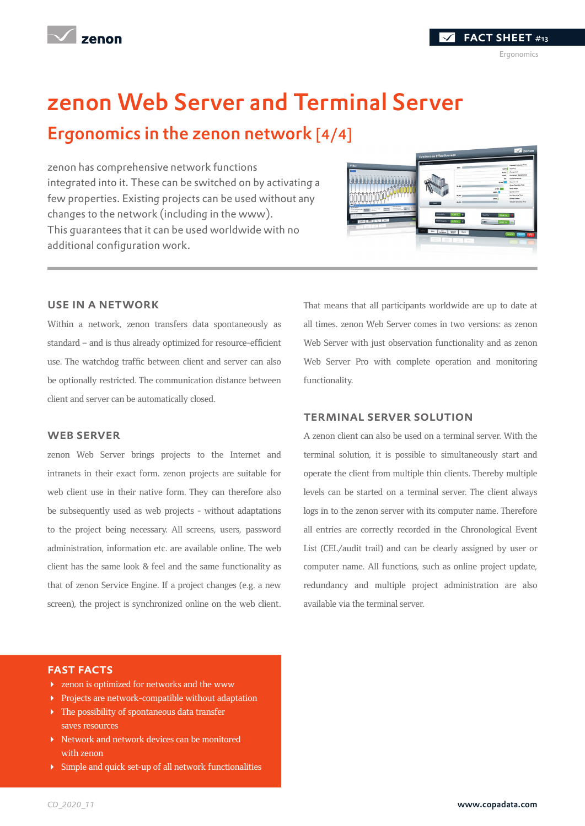

fact sheet #13

## zenon Web Server and Terminal Server

### Ergonomics in the zenon network [4/4]

zenon has comprehensive network functions integrated into it. These can be switched on by activating a few properties. Existing projects can be used without any changes to the network (including in the www). This guarantees that it can be used worldwide with no additional configuration work.



#### use in a network

Within a network, zenon transfers data spontaneously as standard – and is thus already optimized for resource-efficient use. The watchdog traffic between client and server can also be optionally restricted. The communication distance between client and server can be automatically closed.

#### WEB SERVER

zenon Web Server brings projects to the Internet and intranets in their exact form. zenon projects are suitable for web client use in their native form. They can therefore also be subsequently used as web projects - without adaptations to the project being necessary. All screens, users, password administration, information etc. are available online. The web client has the same look & feel and the same functionality as that of zenon Service Engine. If a project changes (e.g. a new screen), the project is synchronized online on the web client. That means that all participants worldwide are up to date at all times. zenon Web Server comes in two versions: as zenon Web Server with just observation functionality and as zenon Web Server Pro with complete operation and monitoring functionality.

#### terminal server solution

A zenon client can also be used on a terminal server. With the terminal solution, it is possible to simultaneously start and operate the client from multiple thin clients. Thereby multiple levels can be started on a terminal server. The client always logs in to the zenon server with its computer name. Therefore all entries are correctly recorded in the Chronological Event List (CEL/audit trail) and can be clearly assigned by user or computer name. All functions, such as online project update, redundancy and multiple project administration are also available via the terminal server.

#### fast facts

- zenon is optimized for networks and the www
- Projects are network-compatible without adaptation
- The possibility of spontaneous data transfer saves resources
- Network and network devices can be monitored with zenon
- Simple and quick set-up of all network functionalities